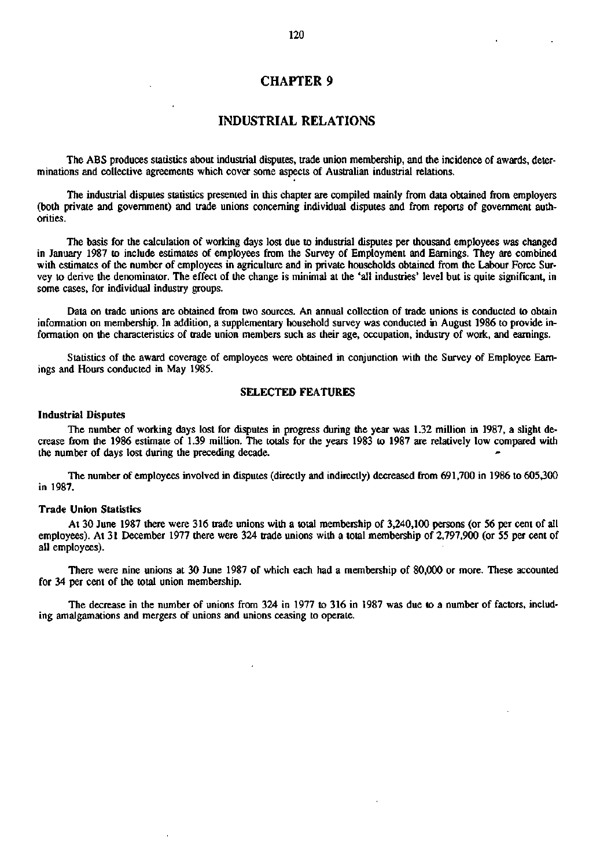## **CHAPTER 9**

## **INDUSTRIAL RELATIONS**

The ABS produces statistics about industrial disputes, trade union membership, and the incidence of awards, determinations and collective agreements which cover some aspects of Australian industrial relations.

The industrial disputes statistics presented in this chapter are compiled mainly from data obtained from employers (both private and government) and trade unions concerning individual disputes and from reports of government authorities.

The basis for the calculation of working days lost due to industrial disputes per thousand employees was changed in January 1987 to include estimates of employees from the Survey of Employment and Earnings. They are combined with estimates of the number of employees in agriculture and in private households obtained from the Labour Force Survey to derive the denominator. The effect of the change is minimal at the 'all industries' level but is quite significant, in some cases, for individual industry groups.

Data on trade unions are obtained from two sources. An annual collection of trade unions is conducted to obtain information on membership. In addition, a supplementary household survey was conducted in August 1986 to provide information on the characteristics of trade union members such as their age, occupation, industry of work, and earnings.

Statistics of the award coverage of employees were obtained in conjunction with the Survey of Employee Earnings and Hours conducted in May 1985.

#### **SELECTED FEATURES**

#### **Industrial Disputes**

The number of working days lost for disputes in progress during the year was 1.32 million in 1987, **a** slight decrease from the 1986 estimate of 1.39 million. The totals for the years 1983 to 1987 are relatively low compared with the number of days lost during the preceding decade.

The number of employees involved in disputes (directly and indirectly) decreased from 691,700 in 1986 to 605,300 in 1987.

#### **Trade Union Statistics**

At 30 June 1987 there were 316 trade unions with a total membership of 3,240,100 persons (or 56 per cent of all employees). At 31 December 1977 there were 324 trade unions with a total membership of 2,797,900 (or 55 per cent of all employees).

There were nine unions at 30 June 1987 of which each had a membership of 80,000 or more. These accounted for 34 per cent of the total union membership.

The decrease in the number of unions from 324 in 1977 to 316 in 1987 was due to a number of factors, including amalgamations and mergers of unions and unions ceasing to operate.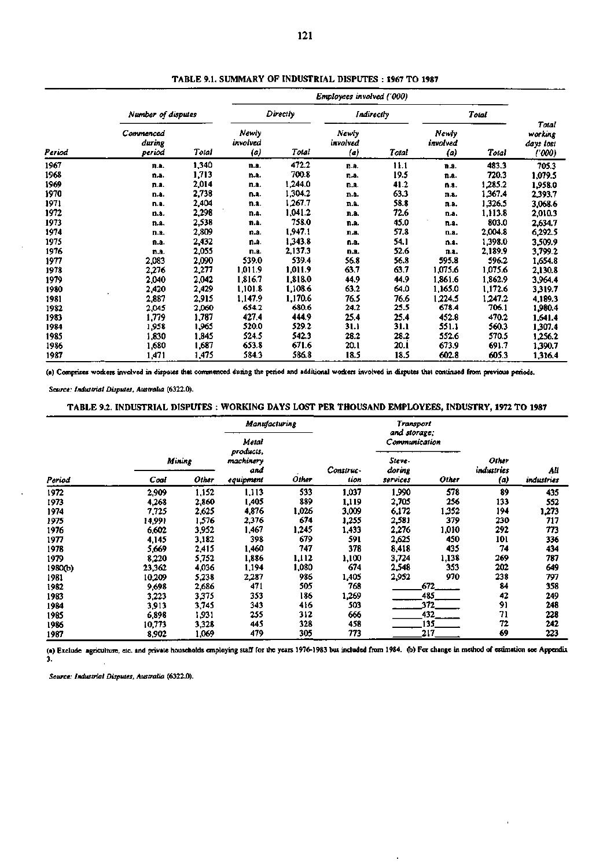| Period |                               |       | Employees involved ('000) |         |                          |            |                          |         |                                         |
|--------|-------------------------------|-------|---------------------------|---------|--------------------------|------------|--------------------------|---------|-----------------------------------------|
|        | Number of disputes            |       | Directly                  |         |                          | Indirectly |                          | Total   |                                         |
|        | Commenced<br>during<br>period | Total | Newly<br>involved<br>(a)  | Total   | Newly<br>involved<br>(a) | Total      | Newly<br>involved<br>(a) | Total   | Total<br>working<br>days lost<br>('000) |
| 1967   | n.a.                          | 1,340 | n.a.                      | 472.2   | n.a.                     | 11.1       | n.a.                     | 483.3   | 705.3                                   |
| 1968   | n.a.                          | 1,713 | n.a.                      | 700.8   | n.a.                     | 19.5       | п.а.                     | 720.3   | 1,079.5                                 |
| 1969   | n.a.                          | 2,014 | n.a.                      | 1,244.0 | n.a.                     | 41.2       | n.a.                     | 1,285.2 | 1,958.0                                 |
| 1970   | n.a.                          | 2,738 | n.a.                      | 1,304.2 | n.a.                     | 63.3       | n.a.                     | 1,367.4 | 2,393.7                                 |
| 1971   | n.a.                          | 2,404 | n.a.                      | 1,267.7 | n.a.                     | 58.8       | n.a.                     | 1,326.5 | 3,068.6                                 |
| 1972   | n.a.                          | 2,298 | n.a.                      | 1,041.2 | n.a.                     | 72.6       | n.a.                     | 1,113.8 | 2,010.3                                 |
| 1973   | n.a.                          | 2,538 | n.a.                      | 758.0   | n.a.                     | 45.0       | n.a.                     | 803.0   | 2,634.7                                 |
| 1974   | n.a.                          | 2,809 | n.a.                      | 1,947.1 | n.a.                     | 57.8       | n.a.                     | 2,004.8 | 6,292.5                                 |
| 1975   | n.a.                          | 2,432 | n.a.                      | 1,343.8 | n.a.                     | 54.1       | n.s.                     | 1,398.0 | 3,509.9                                 |
| 1976   | n.a.                          | 2,055 | n.a.                      | 2,137.3 | <b>D.a.</b>              | 52.6       | n.a.                     | 2,189.9 | 3,799.2                                 |
| 1977   | 2,083                         | 2,090 | 539.0                     | 539.4   | 56.8                     | 56.8       | 595.8                    | 596.2   | 1,654.8                                 |
| 1978   | 2,276                         | 2,277 | 1,011.9                   | 1.011.9 | 63.7                     | 63.7       | 1,075.6                  | 1,075.6 | 2,130.8                                 |
| 1979   | 2,040                         | 2,042 | 1,816.7                   | 1,818.0 | 44.9                     | 44.9       | 1,861.6                  | 1,862.9 | 3,964.4                                 |
| 1980   | 2,420                         | 2,429 | 1,101.8                   | 1,108.6 | 63.2                     | 64.0       | 1,165.0                  | 1,172.6 | 3,319.7                                 |
| 1981   | 2,887                         | 2,915 | 1,147.9                   | 1,170.6 | 76.5                     | 76.6       | 1.224.5                  | 1.247.2 | 4.189.3                                 |
| 1982   | 2,045                         | 2,060 | 654.2                     | 680.6   | 24.2                     | 25.5       | 678.4                    | 706.1   | 1,980.4                                 |
| 1983   | 1,779                         | 1,787 | 427.4                     | 444.9   | 25.4                     | 25.4       | 452.8                    | 470.2   | 1,641.4                                 |
| 1984   | 1,958                         | 1,965 | 520.0                     | 529.2   | 31.1                     | 31.1       | 551.1                    | 560.3   | 1,307.4                                 |
| 1985   | 1,830                         | 1,845 | 524.5                     | 542.3   | 28.2                     | 28.2       | 552.6                    | 570.5   | 1,256.2                                 |
| 1986   | 1,680                         | 1,687 | 653.8                     | 671.6   | 20.1                     | 20.1       | 673.9                    | 691.7   | 1,390.7                                 |
| 1987   | 1,471                         | 1,475 | 584.3                     | 586.8   | 18.5                     | 18.5       | 602.8                    | 605.3   | 1,316.4                                 |

**TABLE 9.1. SUMMARY OF INDUSTRIAL DISPUTES : 1967 TO 1987** 

**(a) Comprises workers involved in disputes that commenced during the period and additional workers involved in disputes that continued from previous periods.** 

*Source: Industrial Disputes, Australia* **(6322.0).** 

## **TABLE** *92.* **INDUSTRIAL DISPUTES : WORKING DAYS LOST PER THOUSAND EMPLOYEES, INDUSTRY, 1972 TO 1987**

|         |        |       | <b>Manufacturing</b> |       | <b>Transport</b> |                               |       |                     |            |
|---------|--------|-------|----------------------|-------|------------------|-------------------------------|-------|---------------------|------------|
| Period  |        |       | Metal<br>products,   |       |                  | and storage;<br>Communication |       |                     |            |
|         | Mining |       | machinery<br>and     |       | Construc-        | Steve-<br>doring              |       | Other<br>industries | AШ         |
|         | Coal   | Other | equipment            | Other | tion             | services                      | Other | (a)                 | industries |
| 1972    | 2,909  | 1,152 | 1,113                | 533   | 1,037            | 1,990                         | 578   | 89                  | 435        |
| 1973    | 4,268  | 2,860 | 1,405                | 889   | 1,119            | 2,705                         | 256   | 133                 | 552        |
| 1974    | 7,725  | 2,625 | 4,876                | 1.026 | 3,009            | 6,172                         | 1,352 | 194                 | 1,273      |
| 1975    | 14,991 | .576  | 2,376                | 674   | 1,255            | 2,581                         | 379   | 230                 | 717        |
| 1976    | 6,602  | 3,952 | 1,467                | 1,245 | 1,433            | 2,276                         | 1,010 | 292                 | 773        |
| 1977    | 4,145  | 3,182 | 398                  | 679   | 591              | 2,625                         | 450   | 101                 | 336        |
| 1978    | 5,669  | 2,415 | 1,460                | 747   | 378              | 8,418                         | 435   | 74                  | 434        |
| 1979    | 8,220  | 5,752 | 1,886                | 1,112 | 1,100            | 3,724                         | 1,138 | 269                 | 787        |
| 1980(b) | 23,362 | 4,036 | 1,194                | 1,080 | 674              | 2,548                         | 353   | 202                 | 649        |
| 1981    | 10,209 | 5,238 | 2,287                | 986   | 1,405            | 2,952                         | 970   | 238                 | 797        |
| 1982    | 9,698  | 2,686 | 471                  | 505   | 768              |                               | 672   | 84                  | 358        |
| 1983    | 3,223  | 3,375 | 353                  | 186   | 1,269            |                               | 485   | 42                  | 249        |
| 1984    | 3.913  | 3,745 | 343                  | 416   | 503              |                               | 372   | 91                  | 248        |
| 1985    | 6,898  | 1.931 | 255                  | 312   | 666              |                               | 432   | 71                  | 228        |
| 1986    | 10,773 | 3,328 | 445                  | 328   | 458              |                               | 135   | 72                  | 242        |
| 1987    | 8,902  | 1,069 | 479                  | 305   | 773              |                               | 217   | 69                  | 223        |

**(a) Exclude agriculture, etc. and private households employing staff for the years 1976-1983 but included from 1984. (b) For change in method of estimation see Appendix 3.** 

 $\blacksquare$ 

*Source: Industrial Disputes, Australia* **(6322.0).**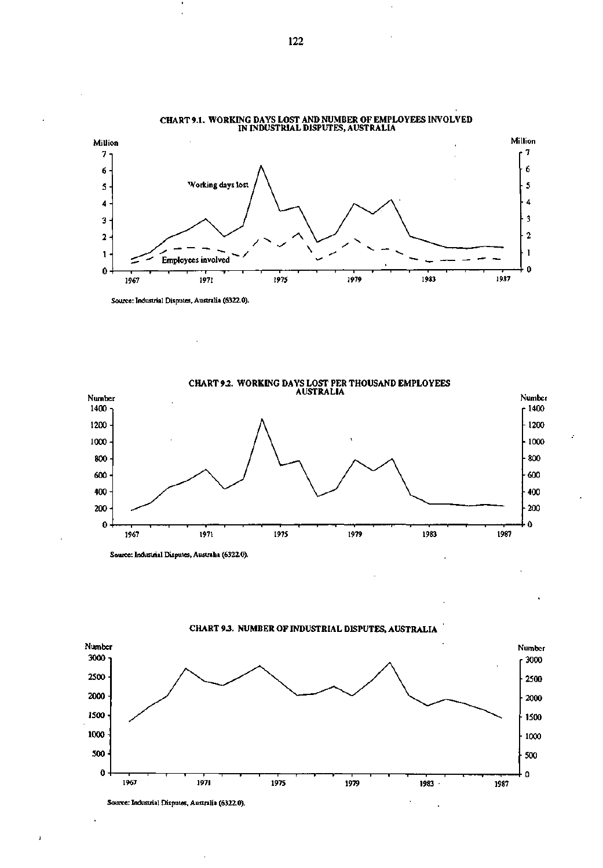

**CHART 9.1. WORKING DAYS LOST AND NUMBER OF EMPLOYEES INVOLVED IN INDUSTRIAL DISPUTES, AUSTRALIA** 

**Source: Industrial Disputes, Australia (6322.0).** 



**Source: Industrial Disputes, Australia (6322.0).** 



**CHART** *93.* **NUMBER OF INDUSTRIAL DISPUTES, AUSTRALIA** 

**Source: Industrial Disputes, Australia (6322.0).** 

h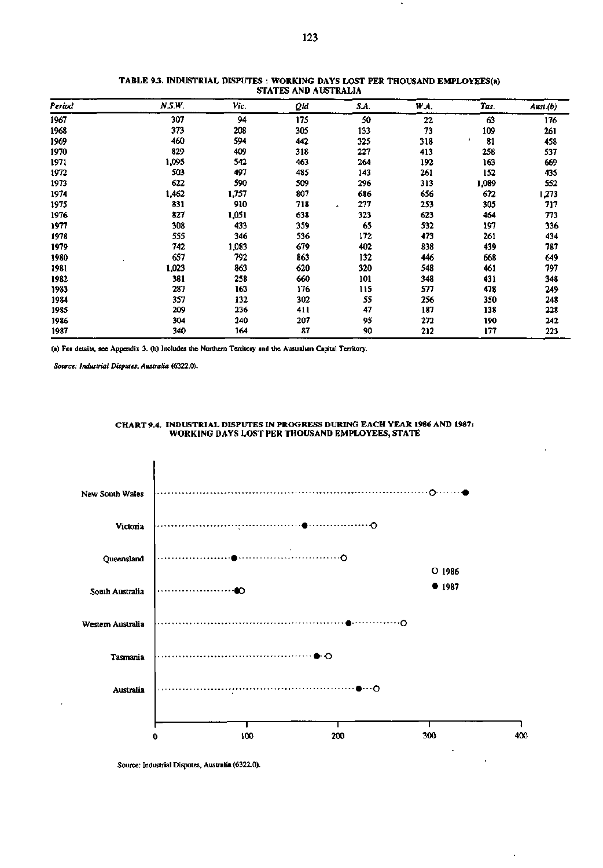| Period | N.S.W. | Vic.  | Qid | SA. | W.A. | Tas.  | Aust.(b) |
|--------|--------|-------|-----|-----|------|-------|----------|
| 1967   | 307    | 94    | 175 | 50  | 22   | 63    | 176      |
| 1968   | 373    | 208   | 305 | 133 | 73   | 109   | 261      |
| 1969   | 460    | 594   | 442 | 325 | 318  | 81    | 458      |
| 1970   | 829    | 409   | 318 | 227 | 413  | 258   | 537      |
| 1971   | 1,095  | 542   | 463 | 264 | 192  | 163   | 669      |
| 1972   | 503    | 497   | 485 | 143 | 261  | 152   | 435      |
| 1973   | 622    | 590   | 509 | 296 | 313  | 1,089 | 552      |
| 1974   | 1,462  | 1,757 | 807 | 686 | 656  | 672   | 1,273    |
| 1975   | 831    | 910   | 718 | 277 | 253  | 305   | 717      |
| 1976   | 827    | 1,051 | 638 | 323 | 623  | 464   | 773      |
| 1977   | 308    | 433   | 359 | 65  | 532  | 197   | 336      |
| 1978   | 555    | 346   | 536 | 172 | 473  | 261   | 434      |
| 1979   | 742    | 1,083 | 679 | 402 | 838  | 439   | 787      |
| 1980   | 657    | 792   | 863 | 132 | 446  | 668   | 649      |
| 1981   | 1,023  | 863   | 620 | 320 | 548  | 461   | 797      |
| 1982   | 381    | 258   | 660 | 101 | 348  | 431   | 348      |
| 1983   | 287    | 163   | 176 | 115 | 577  | 478   | 249      |
| 1984   | 357    | 132   | 302 | 55  | 256  | 350   | 248      |
| 1985   | 209    | 236   | 411 | 47  | 187  | 138   | 228      |
| 1986   | 304    | 240   | 207 | 95  | 272  | 190   | 242      |
| 1987   | 340    | 164   | 87  | 90  | 212  | 177   | 223      |

#### **TABLE 93 . INDUSTRIAL DISPUTES : WORKING DAYS LOST PER THOUSAND EMPLOYEES(a) STATES AND AUSTRALIA**

**(a) For details, see Appendix 3. (b) Includes the Northern Tenitory and the Australian Capital Territory.** 

*Source: Industrial Disputes, Australia* **(6322.0).** 



#### **CHART 9.4. INDUSTRIAL DISPUTES IN PROGRESS DURING EACH YEAR 1986 AND 1987: WORKING DAYS LOST PER THOUSAND EMPLOYEES, STATE**

**Source: Industrial Disputes, Australia (6322.0).**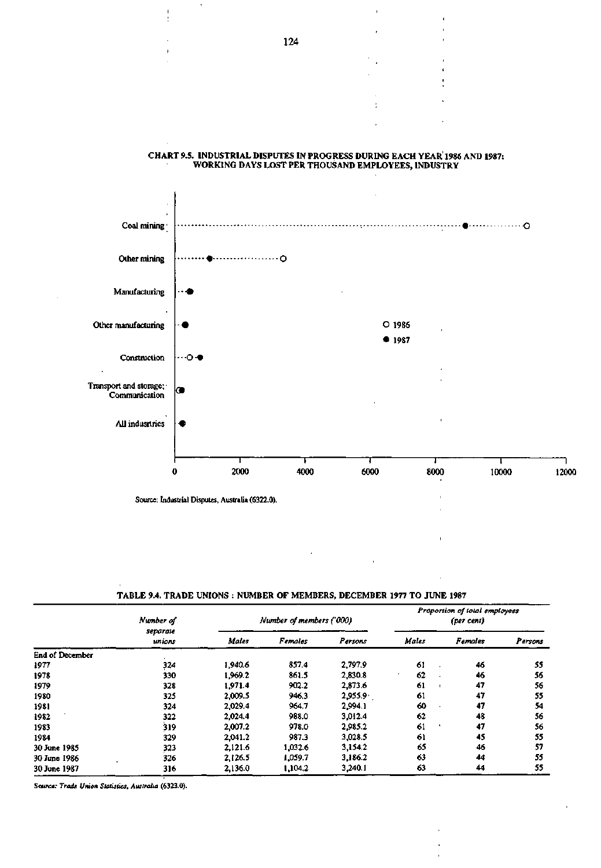• -O Coal mining Other mining . . . . . . . . . . . . 0 Manufacturing Other manufacturing O 1986 • 1987 Construction **•••**O-Transport and storage;' Communication **»**  All indusrtries T 1 1 0 2000 4000 6000 8000 10000 12000 Source: Industrial Disputes, Australia (6322.0). '

#### **CHART 9.5. INDUSTRIAL DISPUTES IN PROGRESS DURING EACH YEAR 1986 AND 1987: WORKING DAYS LOST PER THOUSAND EMPLOYEES, INDUSTRY**

**TABLE 9.4. TRADE UNIONS : NUMBER OF MEMBERS, DECEMBER 1977 TO JUNE 1987** 

|                        | Number of<br>separate<br>unions |         | Number of members ('000) |         | Proportion of total employees<br>(per cent) |                |         |  |  |
|------------------------|---------------------------------|---------|--------------------------|---------|---------------------------------------------|----------------|---------|--|--|
|                        |                                 | Males   | <b>Females</b>           | Persons | Males                                       | <b>Females</b> | Persons |  |  |
| <b>End of December</b> |                                 |         |                          |         |                                             |                |         |  |  |
| 1977                   | 324                             | 1,940.6 | 857.4                    | 2,797.9 | 61                                          | 46             | 55      |  |  |
| 1978                   | 330                             | 1.969.2 | 861.5                    | 2,830.8 | 62<br>٠                                     | 46             | 56      |  |  |
| 1979                   | 328                             | 1.971.4 | 902.2                    | 2,873.6 | 61                                          | 47             | 56      |  |  |
| 1980                   | 325                             | 2,009.5 | 946.3                    | 2.955.9 | 61                                          | 47             | 55      |  |  |
| 1981                   | 324                             | 2,029.4 | 964.7                    | 2.994.1 | 60                                          | 47             | 54      |  |  |
| 1982                   | 322                             | 2.024.4 | 988.0                    | 3.012.4 | 62                                          | 48             | 56      |  |  |
| 1983                   | 319                             | 2,007.2 | 978.0                    | 2.985.2 | 61                                          | 47             | 56      |  |  |
| 1984                   | 329                             | 2.041.2 | 987.3                    | 3,028.5 | 61                                          | 45             | 55      |  |  |
| 30 June 1985           | 323                             | 2,121.6 | 1.032.6                  | 3.154.2 | 65                                          | 46             | 57      |  |  |
| 30 June 1986           | 326                             | 2,126.5 | 1,059.7                  | 3.186.2 | 63                                          | 44             | 55      |  |  |
| 30 June 1987           | 316                             | 2,136.0 | 1,104.2                  | 3,240.1 | 63                                          | 44             | 55      |  |  |

*Source: Trade Union Statistics, Australia* (6323.0).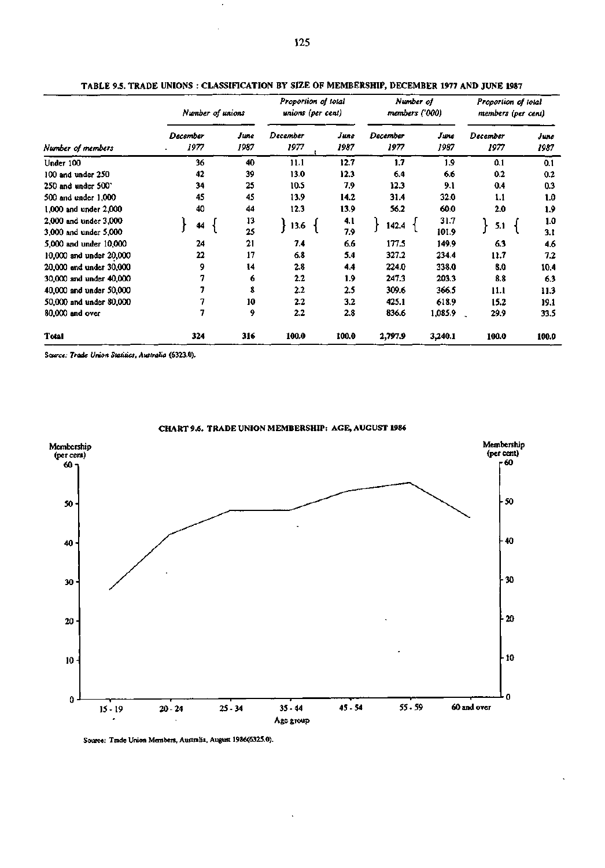|                           | Number of unions |              |                  | Proportion of total<br>unions (per cent) |                  | Number of<br>members ('000) | Proportion of total<br>members (per cent) |              |  |
|---------------------------|------------------|--------------|------------------|------------------------------------------|------------------|-----------------------------|-------------------------------------------|--------------|--|
| Number of members         | December<br>1977 | Јиле<br>1987 | December<br>1977 | June<br>1987                             | December<br>1977 | June<br>1987                | December<br>1977                          | June<br>1987 |  |
| Under 100                 | 36               | 40           | 11.1             | 12.7                                     | 1.7              | 1.9                         | 0.1                                       | 0.1          |  |
| $100$ and under $250$     | 42               | 39           | 13.0             | 12.3                                     | 6.4              | 6.6                         | 0.2                                       | 0.2          |  |
| $250$ and under $500$     | 34               | 25           | 10.5             | 7.9                                      | 12.3             | 9.1                         | 0.4                                       | 0.3          |  |
| 500 and under 1,000       | 45               | 45           | 13.9             | 14.2                                     | 31.4             | 32.0                        | 1.1                                       | 1.0          |  |
| $1,000$ and under $2,000$ | 40               | 44           | 12.3             | 13.9                                     | 56.2             | 60.0                        | 2.0                                       | 1.9          |  |
| 2,000 and under 3,000     | 44               | 13           | 13.6             | 4.1                                      | 142.4            | 31.7                        | 5.1                                       | 1.0          |  |
| 3,000 and under 5,000     |                  | 25           |                  | 7.9                                      |                  | 101.9                       |                                           | 3.1          |  |
| 5,000 and under 10,000    | 24               | 21           | 7.4              | 6.6                                      | 177.5            | 149.9                       | 6.3                                       | 4.6          |  |
| 10,000 and under 20,000   | 22               | 17           | 6.8              | 5.4                                      | 327.2            | 234.4                       | 11.7                                      | 7.2          |  |
| 20,000 and under 30,000   | 9                | 14           | 2.8              | 4.4                                      | 224.0            | 338.0                       | 8.0                                       | 10.4         |  |
| 30,000 and under 40,000   | 7                | 6            | $2.2\,$          | 1.9                                      | 247.3            | 203.3                       | 8.8                                       | 6.3          |  |
| 40,000 and under 50,000   |                  | 8            | $2.2\,$          | 2.5                                      | 309.6            | 366.5                       | 11.1                                      | 11.3         |  |
| 50,000 and under 80,000   |                  | 10           | $2.2\phantom{0}$ | 3.2                                      | 425.1            | 618.9                       | 15.2                                      | 19.1         |  |
| 80,000 and over           | 7                | 9            | 2.2              | 2.8                                      | 836.6            | 1,085.9                     | 29.9                                      | 33.5         |  |
| Total                     | 324              | 316          | 100.0            | 100.0                                    | 2,797.9          | 3,240.1                     | 100.0                                     | 100.0        |  |

**TABLE 9.5. TRADE UNIONS : CLASSIFICATION BY SIZE OF MEMBERSHIP, DECEMBER 1977 AND JUNE 1987** 

**Source:** *Trade Union Statitics, Australia* **(6323.0).** 



**CHART 9.6. TRADE UNION MEMBERSHIP: AGE, AUGUST 1986** 

**Source: Trade Union Members, Australia, August 1986(6325.0).**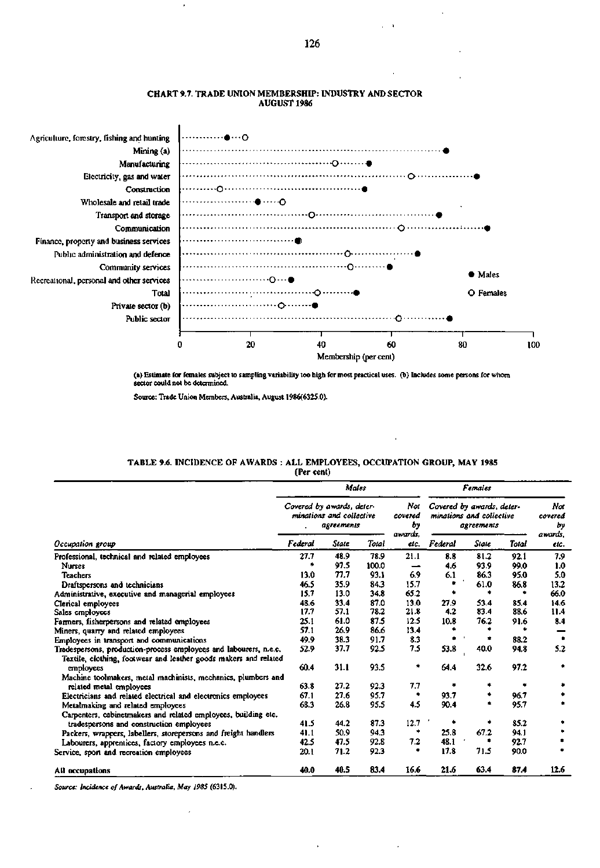

### CHART 9.7. TRADE UNION MEMBERSHIP: INDUSTRY AND SECTOR AUGUST **1986**

(a) Estimate for females subject to sampling variability too high for most practical uses, (b) Includes some persons for whom sector could not be determined.

Source: Trade Union Members, Australia, August 1986(6325.0).

# TABLE 9.6. INCIDENCE OF AWARDS : ALL EMPLOYEES, OCCUPATION GROUP, MAY 1985 (Per cent)

|                                                                   | Covered by awards, deter-<br>minations and collective<br>agreements                                                                                                                                                                                                                                                                                                                                                                                                                                                                                                                                                                                                                                                                                                                                                                                                                                           |              |                 | Not<br>covered<br>bу | Covered by awards, deter-<br>minations and collective<br>agreements |      |      | Not<br>covered<br>Ьу |
|-------------------------------------------------------------------|---------------------------------------------------------------------------------------------------------------------------------------------------------------------------------------------------------------------------------------------------------------------------------------------------------------------------------------------------------------------------------------------------------------------------------------------------------------------------------------------------------------------------------------------------------------------------------------------------------------------------------------------------------------------------------------------------------------------------------------------------------------------------------------------------------------------------------------------------------------------------------------------------------------|--------------|-----------------|----------------------|---------------------------------------------------------------------|------|------|----------------------|
| Occupation group                                                  | Males<br>Females<br>awards.<br>Total<br>Federal<br>State<br>Federal<br>State<br>elc.<br>48.9<br>21.1<br>27.7<br>8.8<br>81.2<br>78.9<br>97.5<br>100.0<br>93.9<br>۰<br>4.6<br>-<br>77.7<br>93.1<br>6.9<br>6.1<br>13.0<br>86.3<br>35.9<br>84.3<br>15.7<br>61.0<br>46.5<br>65.2<br>15.7<br>13.0<br>34.8<br>۰<br>۰<br>13.0<br>33.4<br>87.0<br>53.4<br>27.9<br>48.6<br>78.2<br>4.2<br>83.4<br>17.7<br>57.1<br>21.8<br>87.5<br>12.5<br>61.0<br>76.2<br>25.1<br>10.8<br>57.1<br>26.9<br>86.6<br>13.4<br>38.3<br>91.7<br>8.3<br>49.9<br>7.5<br>37.7<br>92.5<br>53.8<br>40.0<br>52.9<br>32.6<br>31.1<br>93.5<br>٠<br>60.4<br>64.4<br>27.2<br>7.7<br>92.3<br>63.8<br>٠<br>27.6<br>95.7<br>67.1<br>93.7<br>۰<br>4.5<br>68.3<br>26.8<br>95.5<br>90.4<br>87.3<br>12.7<br>44.2<br>۰<br>41.5<br>25.8<br>67.2<br>94.3<br>*<br>50.9<br>41.1<br>7.2<br>48.1<br>92.8<br>42.5<br>47.5<br>17.8<br>71.5<br>71.2<br>92.3<br>٠<br>20.1 | <b>Total</b> | awards.<br>etc. |                      |                                                                     |      |      |                      |
| Professional, technical and related employees                     |                                                                                                                                                                                                                                                                                                                                                                                                                                                                                                                                                                                                                                                                                                                                                                                                                                                                                                               |              |                 |                      |                                                                     |      | 92.1 | 7.9                  |
| <b>Nurses</b>                                                     |                                                                                                                                                                                                                                                                                                                                                                                                                                                                                                                                                                                                                                                                                                                                                                                                                                                                                                               |              |                 |                      |                                                                     |      | 99.0 | 1.0                  |
| <b>Teachers</b>                                                   |                                                                                                                                                                                                                                                                                                                                                                                                                                                                                                                                                                                                                                                                                                                                                                                                                                                                                                               |              |                 |                      |                                                                     |      | 95.0 | 5.0                  |
| Draftspersons and technicians                                     |                                                                                                                                                                                                                                                                                                                                                                                                                                                                                                                                                                                                                                                                                                                                                                                                                                                                                                               |              |                 |                      |                                                                     |      | 86.8 | 13.2                 |
| Administrative, executive and managerial employees                |                                                                                                                                                                                                                                                                                                                                                                                                                                                                                                                                                                                                                                                                                                                                                                                                                                                                                                               |              |                 |                      |                                                                     |      |      | 66.0                 |
| Clerical employees                                                |                                                                                                                                                                                                                                                                                                                                                                                                                                                                                                                                                                                                                                                                                                                                                                                                                                                                                                               |              |                 |                      |                                                                     |      | 85.4 | 14.6                 |
| Sales employees                                                   |                                                                                                                                                                                                                                                                                                                                                                                                                                                                                                                                                                                                                                                                                                                                                                                                                                                                                                               |              |                 |                      |                                                                     |      | 88.6 | 11.4                 |
| Farmers, fisherpersons and related employees                      |                                                                                                                                                                                                                                                                                                                                                                                                                                                                                                                                                                                                                                                                                                                                                                                                                                                                                                               |              |                 |                      |                                                                     |      | 91.6 | 8.4                  |
| Miners, quarry and related employees                              |                                                                                                                                                                                                                                                                                                                                                                                                                                                                                                                                                                                                                                                                                                                                                                                                                                                                                                               |              |                 |                      |                                                                     |      |      |                      |
| Employees in transport and communications                         |                                                                                                                                                                                                                                                                                                                                                                                                                                                                                                                                                                                                                                                                                                                                                                                                                                                                                                               |              |                 |                      |                                                                     |      | 88.2 |                      |
| Tradespersons, production-process employees and labourers, n.e.c. |                                                                                                                                                                                                                                                                                                                                                                                                                                                                                                                                                                                                                                                                                                                                                                                                                                                                                                               |              |                 |                      |                                                                     |      | 94.8 | 5.2                  |
| Textile, clothing, footwear and leather goods makers and related  |                                                                                                                                                                                                                                                                                                                                                                                                                                                                                                                                                                                                                                                                                                                                                                                                                                                                                                               |              |                 |                      |                                                                     |      |      |                      |
| employees                                                         |                                                                                                                                                                                                                                                                                                                                                                                                                                                                                                                                                                                                                                                                                                                                                                                                                                                                                                               |              |                 |                      |                                                                     |      | 97.2 |                      |
| Machine toolmakers, metal machinists, mechanics, plumbers and     |                                                                                                                                                                                                                                                                                                                                                                                                                                                                                                                                                                                                                                                                                                                                                                                                                                                                                                               |              |                 |                      |                                                                     |      |      |                      |
| related metal employees                                           |                                                                                                                                                                                                                                                                                                                                                                                                                                                                                                                                                                                                                                                                                                                                                                                                                                                                                                               |              |                 |                      |                                                                     |      | ٠    |                      |
| Electricians and related electrical and electronics employees     |                                                                                                                                                                                                                                                                                                                                                                                                                                                                                                                                                                                                                                                                                                                                                                                                                                                                                                               |              |                 |                      |                                                                     |      | 96.7 |                      |
| Metalmaking and related employees                                 |                                                                                                                                                                                                                                                                                                                                                                                                                                                                                                                                                                                                                                                                                                                                                                                                                                                                                                               |              |                 |                      |                                                                     |      | 95.7 |                      |
| Carpenters, cabinetmakers and related employees, building etc.    |                                                                                                                                                                                                                                                                                                                                                                                                                                                                                                                                                                                                                                                                                                                                                                                                                                                                                                               |              |                 |                      |                                                                     |      |      |                      |
| tradespersons and construction employees                          |                                                                                                                                                                                                                                                                                                                                                                                                                                                                                                                                                                                                                                                                                                                                                                                                                                                                                                               |              |                 |                      |                                                                     |      | 85.2 |                      |
| Packers, wrappers, labellers, storepersons and freight handlers   |                                                                                                                                                                                                                                                                                                                                                                                                                                                                                                                                                                                                                                                                                                                                                                                                                                                                                                               |              |                 |                      |                                                                     |      | 94.1 |                      |
| Labourers, apprentices, factory employees n.e.c.                  |                                                                                                                                                                                                                                                                                                                                                                                                                                                                                                                                                                                                                                                                                                                                                                                                                                                                                                               |              |                 |                      |                                                                     |      | 92.7 |                      |
| Service, sport and recreation employees                           |                                                                                                                                                                                                                                                                                                                                                                                                                                                                                                                                                                                                                                                                                                                                                                                                                                                                                                               |              |                 |                      |                                                                     |      | 90.0 |                      |
| All occupations                                                   | 40.0                                                                                                                                                                                                                                                                                                                                                                                                                                                                                                                                                                                                                                                                                                                                                                                                                                                                                                          | 40.5         | 83.4            | 16.6                 | 21.6                                                                | 63.4 | 87.4 | 12.6                 |

*Source: Incidence of Awards, Australia, May 1985* **(6315.0).**